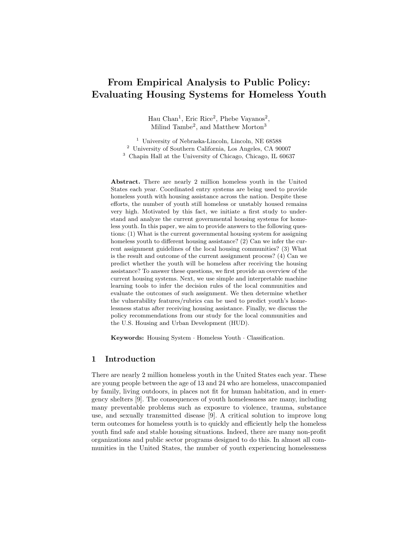# From Empirical Analysis to Public Policy: Evaluating Housing Systems for Homeless Youth

Hau Chan<sup>1</sup>, Eric Rice<sup>2</sup>, Phebe Vayanos<sup>2</sup>, Milind Tambe<sup>2</sup>, and Matthew Morton<sup>3</sup>

<sup>1</sup> University of Nebraska-Lincoln, Lincoln, NE 68588 <sup>2</sup> University of Southern California, Los Angeles, CA 90007 <sup>3</sup> Chapin Hall at the University of Chicago, Chicago, IL 60637

Abstract. There are nearly 2 million homeless youth in the United States each year. Coordinated entry systems are being used to provide homeless youth with housing assistance across the nation. Despite these efforts, the number of youth still homeless or unstably housed remains very high. Motivated by this fact, we initiate a first study to understand and analyze the current governmental housing systems for homeless youth. In this paper, we aim to provide answers to the following questions: (1) What is the current governmental housing system for assigning homeless youth to different housing assistance? (2) Can we infer the current assignment guidelines of the local housing communities? (3) What is the result and outcome of the current assignment process? (4) Can we predict whether the youth will be homeless after receiving the housing assistance? To answer these questions, we first provide an overview of the current housing systems. Next, we use simple and interpretable machine learning tools to infer the decision rules of the local communities and evaluate the outcomes of such assignment. We then determine whether the vulnerability features/rubrics can be used to predict youth's homelessness status after receiving housing assistance. Finally, we discuss the policy recommendations from our study for the local communities and the U.S. Housing and Urban Development (HUD).

Keywords: Housing System · Homeless Youth · Classification.

# 1 Introduction

There are nearly 2 million homeless youth in the United States each year. These are young people between the age of 13 and 24 who are homeless, unaccompanied by family, living outdoors, in places not fit for human habitation, and in emergency shelters [9]. The consequences of youth homelessness are many, including many preventable problems such as exposure to violence, trauma, substance use, and sexually transmitted disease [9]. A critical solution to improve long term outcomes for homeless youth is to quickly and efficiently help the homeless youth find safe and stable housing situations. Indeed, there are many non-profit organizations and public sector programs designed to do this. In almost all communities in the United States, the number of youth experiencing homelessness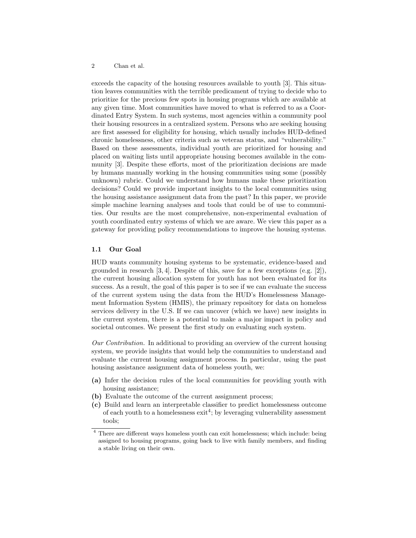exceeds the capacity of the housing resources available to youth [3]. This situation leaves communities with the terrible predicament of trying to decide who to prioritize for the precious few spots in housing programs which are available at any given time. Most communities have moved to what is referred to as a Coordinated Entry System. In such systems, most agencies within a community pool their housing resources in a centralized system. Persons who are seeking housing are first assessed for eligibility for housing, which usually includes HUD-defined chronic homelessness, other criteria such as veteran status, and "vulnerability." Based on these assessments, individual youth are prioritized for housing and placed on waiting lists until appropriate housing becomes available in the community [3]. Despite these efforts, most of the prioritization decisions are made by humans manually working in the housing communities using some (possibly unknown) rubric. Could we understand how humans make these prioritization decisions? Could we provide important insights to the local communities using the housing assistance assignment data from the past? In this paper, we provide simple machine learning analyses and tools that could be of use to communities. Our results are the most comprehensive, non-experimental evaluation of youth coordinated entry systems of which we are aware. We view this paper as a gateway for providing policy recommendations to improve the housing systems.

### 1.1 Our Goal

HUD wants community housing systems to be systematic, evidence-based and grounded in research  $[3, 4]$ . Despite of this, save for a few exceptions  $(e.g. [2])$ , the current housing allocation system for youth has not been evaluated for its success. As a result, the goal of this paper is to see if we can evaluate the success of the current system using the data from the HUD's Homelessness Management Information System (HMIS), the primary repository for data on homeless services delivery in the U.S. If we can uncover (which we have) new insights in the current system, there is a potential to make a major impact in policy and societal outcomes. We present the first study on evaluating such system.

Our Contribution. In additional to providing an overview of the current housing system, we provide insights that would help the communities to understand and evaluate the current housing assignment process. In particular, using the past housing assistance assignment data of homeless youth, we:

- (a) Infer the decision rules of the local communities for providing youth with housing assistance;
- (b) Evaluate the outcome of the current assignment process;
- (c) Build and learn an interpretable classifier to predict homelessness outcome of each youth to a homelessness  $\text{exit}^4$ ; by leveraging vulnerability assessment tools;

 $^4$  There are different ways homeless youth can exit homelessness; which include: being assigned to housing programs, going back to live with family members, and finding a stable living on their own.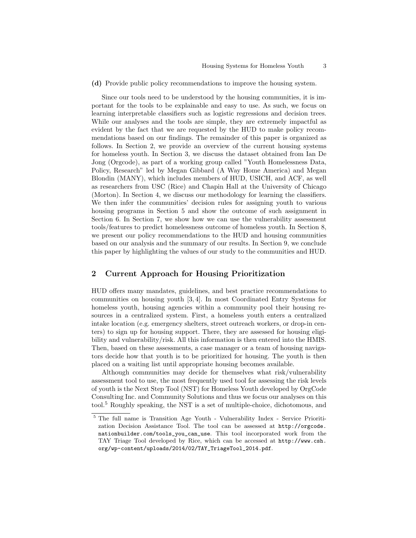#### (d) Provide public policy recommendations to improve the housing system.

Since our tools need to be understood by the housing communities, it is important for the tools to be explainable and easy to use. As such, we focus on learning interpretable classifiers such as logistic regressions and decision trees. While our analyses and the tools are simple, they are extremely impactful as evident by the fact that we are requested by the HUD to make policy recommendations based on our findings. The remainder of this paper is organized as follows. In Section 2, we provide an overview of the current housing systems for homeless youth. In Section 3, we discuss the dataset obtained from Ian De Jong (Orgcode), as part of a working group called "Youth Homelessness Data, Policy, Research" led by Megan Gibbard (A Way Home America) and Megan Blondin (MANY), which includes members of HUD, USICH, and ACF, as well as researchers from USC (Rice) and Chapin Hall at the University of Chicago (Morton). In Section 4, we discuss our methodology for learning the classifiers. We then infer the communities' decision rules for assigning youth to various housing programs in Section 5 and show the outcome of such assignment in Section 6. In Section 7, we show how we can use the vulnerability assessment tools/features to predict homelessness outcome of homeless youth. In Section 8, we present our policy recommendations to the HUD and housing communities based on our analysis and the summary of our results. In Section 9, we conclude this paper by highlighting the values of our study to the communities and HUD.

# 2 Current Approach for Housing Prioritization

HUD offers many mandates, guidelines, and best practice recommendations to communities on housing youth [3, 4]. In most Coordinated Entry Systems for homeless youth, housing agencies within a community pool their housing resources in a centralized system. First, a homeless youth enters a centralized intake location (e.g. emergency shelters, street outreach workers, or drop-in centers) to sign up for housing support. There, they are assessed for housing eligibility and vulnerability/risk. All this information is then entered into the HMIS. Then, based on these assessments, a case manager or a team of housing navigators decide how that youth is to be prioritized for housing. The youth is then placed on a waiting list until appropriate housing becomes available.

Although communities may decide for themselves what risk/vulnerability assessment tool to use, the most frequently used tool for assessing the risk levels of youth is the Next Step Tool (NST) for Homeless Youth developed by OrgCode Consulting Inc. and Community Solutions and thus we focus our analyses on this tool.<sup>5</sup> Roughly speaking, the NST is a set of multiple-choice, dichotomous, and

<sup>5</sup> The full name is Transition Age Youth - Vulnerability Index - Service Prioritization Decision Assistance Tool. The tool can be assessed at http://orgcode. nationbuilder.com/tools\_you\_can\_use. This tool incorporated work from the TAY Triage Tool developed by Rice, which can be accessed at http://www.csh. org/wp-content/uploads/2014/02/TAY\_TriageTool\_2014.pdf.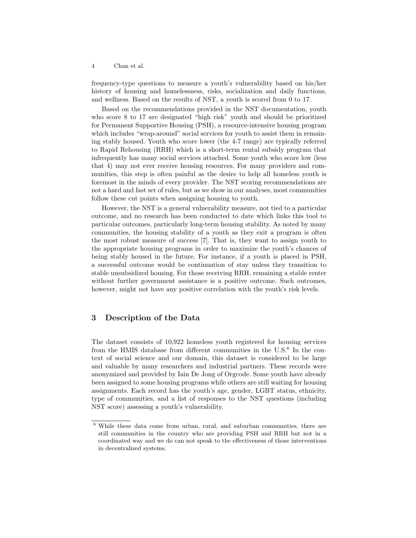frequency-type questions to measure a youth's vulnerability based on his/her history of housing and homelessness, risks, socialization and daily functions, and wellness. Based on the results of NST, a youth is scored from 0 to 17.

Based on the recommendations provided in the NST documentation, youth who score 8 to 17 are designated "high risk" youth and should be prioritized for Permanent Supportive Housing (PSH), a resource-intensive housing program which includes "wrap-around" social services for youth to assist them in remaining stably housed. Youth who score lower (the 4-7 range) are typically referred to Rapid Rehousing (RRH) which is a short-term rental subsidy program that infrequently has many social services attached. Some youth who score low (less that 4) may not ever receive housing resources. For many providers and communities, this step is often painful as the desire to help all homeless youth is foremost in the minds of every provider. The NST scoring recommendations are not a hard and fast set of rules, but as we show in our analyses, most communities follow these cut points when assigning housing to youth.

However, the NST is a general vulnerability measure, not tied to a particular outcome, and no research has been conducted to date which links this tool to particular outcomes, particularly long-term housing stability. As noted by many communities, the housing stability of a youth as they exit a program is often the most robust measure of success [7]. That is, they want to assign youth to the appropriate housing programs in order to maximize the youth's chances of being stably housed in the future. For instance, if a youth is placed in PSH, a successful outcome would be continuation of stay unless they transition to stable unsubsidized housing. For those receiving RRH, remaining a stable renter without further government assistance is a positive outcome. Such outcomes, however, might not have any positive correlation with the youth's risk levels.

# 3 Description of the Data

The dataset consists of 10,922 homeless youth registered for housing services from the HMIS database from different communities in the U.S.<sup>6</sup> In the context of social science and our domain, this dataset is considered to be large and valuable by many researchers and industrial partners. These records were anonymized and provided by Iain De Jong of Orgcode. Some youth have already been assigned to some housing programs while others are still waiting for housing assignments. Each record has the youth's age, gender, LGBT status, ethnicity, type of communities, and a list of responses to the NST questions (including NST score) assessing a youth's vulnerability.

<sup>6</sup> While these data come from urban, rural, and suburban communities, there are still communities in the country who are providing PSH and RRH but not in a coordinated way and we do can not speak to the effectiveness of those interventions in decentralized systems.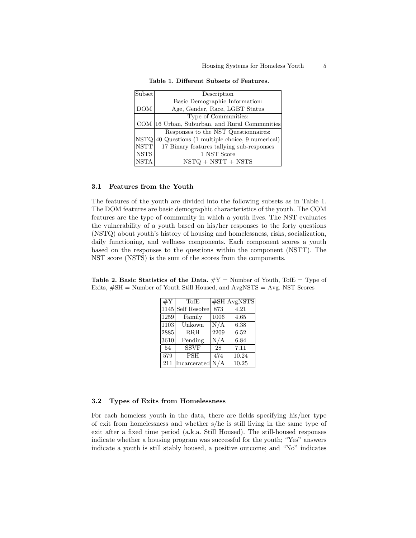| $\overline{\text{Subset}}$ | Description                                   |  |  |  |  |  |  |
|----------------------------|-----------------------------------------------|--|--|--|--|--|--|
|                            | Basic Demographic Information:                |  |  |  |  |  |  |
| <b>DOM</b>                 | Age, Gender, Race, LGBT Status                |  |  |  |  |  |  |
|                            | Type of Communities:                          |  |  |  |  |  |  |
|                            | COM 16 Urban, Suburban, and Rural Communities |  |  |  |  |  |  |
|                            | Responses to the NST Questionnaires:          |  |  |  |  |  |  |
| <b>NSTQ</b>                | 40 Questions (1 multiple choice, 9 numerical) |  |  |  |  |  |  |
| <b>NSTT</b>                | 17 Binary features tallying sub-responses     |  |  |  |  |  |  |
| <b>NSTS</b>                | 1 NST Score                                   |  |  |  |  |  |  |
| <b>NSTA</b>                | $NSTQ + NSTT + NSTS$                          |  |  |  |  |  |  |
|                            |                                               |  |  |  |  |  |  |

Table 1. Different Subsets of Features.

### 3.1 Features from the Youth

The features of the youth are divided into the following subsets as in Table 1. The DOM features are basic demographic characteristics of the youth. The COM features are the type of community in which a youth lives. The NST evaluates the vulnerability of a youth based on his/her responses to the forty questions (NSTQ) about youth's history of housing and homelessness, risks, socialization, daily functioning, and wellness components. Each component scores a youth based on the responses to the questions within the component (NSTT). The NST score (NSTS) is the sum of the scores from the components.

Table 2. Basic Statistics of the Data.  $\#Y =$  Number of Youth, TofE = Type of Exits,  $\#SH =$  Number of Youth Still Housed, and AvgNSTS = Avg. NST Scores

| #Y   | TofE                    |      | $\#SH$ AvgNSTS |
|------|-------------------------|------|----------------|
|      | 1145 Self Resolve       | 873  | 4.21           |
| 1259 | Family                  | 1006 | 4.65           |
| 1103 | Unkown                  | N/A  | 6.38           |
| 2885 | <b>RRH</b>              | 2209 | 6.52           |
| 3610 | Pending                 | N/A  | 6.84           |
| 54   | <b>SSVF</b>             | 28   | 7.11           |
| 579  | PSH                     | 474  | 10.24          |
| 211  | $\rm{Incarcerated}$ N/A |      | 10.25          |

#### 3.2 Types of Exits from Homelessness

For each homeless youth in the data, there are fields specifying his/her type of exit from homelessness and whether s/he is still living in the same type of exit after a fixed time period (a.k.a. Still Housed). The still-housed responses indicate whether a housing program was successful for the youth; "Yes" answers indicate a youth is still stably housed, a positive outcome; and "No" indicates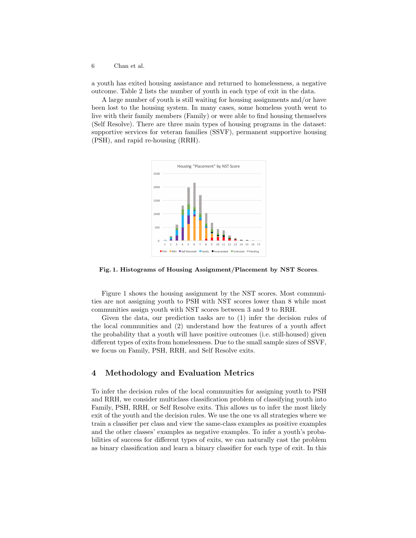a youth has exited housing assistance and returned to homelessness, a negative outcome. Table 2 lists the number of youth in each type of exit in the data.

A large number of youth is still waiting for housing assignments and/or have been lost to the housing system. In many cases, some homeless youth went to live with their family members (Family) or were able to find housing themselves (Self Resolve). There are three main types of housing programs in the dataset: supportive services for veteran families (SSVF), permanent supportive housing (PSH), and rapid re-housing (RRH).



Fig. 1. Histograms of Housing Assignment/Placement by NST Scores.

Figure 1 shows the housing assignment by the NST scores. Most communities are not assigning youth to PSH with NST scores lower than 8 while most communities assign youth with NST scores between 3 and 9 to RRH.

Given the data, our prediction tasks are to (1) infer the decision rules of the local communities and (2) understand how the features of a youth affect the probability that a youth will have positive outcomes (i.e. still-housed) given different types of exits from homelessness. Due to the small sample sizes of SSVF, we focus on Family, PSH, RRH, and Self Resolve exits.

# 4 Methodology and Evaluation Metrics

To infer the decision rules of the local communities for assigning youth to PSH and RRH, we consider multiclass classification problem of classifying youth into Family, PSH, RRH, or Self Resolve exits. This allows us to infer the most likely exit of the youth and the decision rules. We use the one vs all strategies where we train a classifier per class and view the same-class examples as positive examples and the other classes' examples as negative examples. To infer a youth's probabilities of success for different types of exits, we can naturally cast the problem as binary classification and learn a binary classifier for each type of exit. In this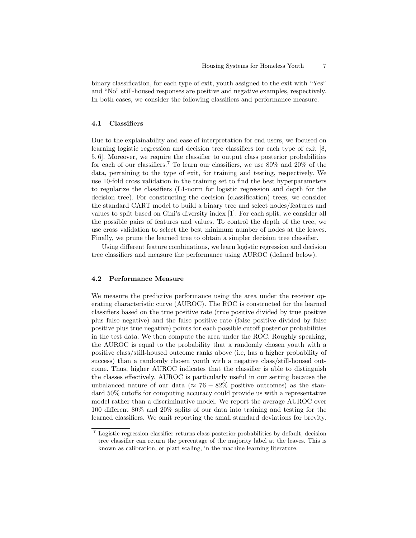binary classification, for each type of exit, youth assigned to the exit with "Yes" and "No" still-housed responses are positive and negative examples, respectively. In both cases, we consider the following classifiers and performance measure.

#### 4.1 Classifiers

Due to the explainability and ease of interpretation for end users, we focused on learning logistic regression and decision tree classifiers for each type of exit [8, 5, 6]. Moreover, we require the classifier to output class posterior probabilities for each of our classifiers.<sup>7</sup> To learn our classifiers, we use 80% and 20% of the data, pertaining to the type of exit, for training and testing, respectively. We use 10-fold cross validation in the training set to find the best hyperparameters to regularize the classifiers (L1-norm for logistic regression and depth for the decision tree). For constructing the decision (classification) trees, we consider the standard CART model to build a binary tree and select nodes/features and values to split based on Gini's diversity index [1]. For each split, we consider all the possible pairs of features and values. To control the depth of the tree, we use cross validation to select the best minimum number of nodes at the leaves. Finally, we prune the learned tree to obtain a simpler decision tree classifier.

Using different feature combinations, we learn logistic regression and decision tree classifiers and measure the performance using AUROC (defined below).

### 4.2 Performance Measure

We measure the predictive performance using the area under the receiver operating characteristic curve (AUROC). The ROC is constructed for the learned classifiers based on the true positive rate (true positive divided by true positive plus false negative) and the false positive rate (false positive divided by false positive plus true negative) points for each possible cutoff posterior probabilities in the test data. We then compute the area under the ROC. Roughly speaking, the AUROC is equal to the probability that a randomly chosen youth with a positive class/still-housed outcome ranks above (i.e, has a higher probability of success) than a randomly chosen youth with a negative class/still-housed outcome. Thus, higher AUROC indicates that the classifier is able to distinguish the classes effectively. AUROC is particularly useful in our setting because the unbalanced nature of our data ( $\approx 76 - 82\%$  positive outcomes) as the standard 50% cutoffs for computing accuracy could provide us with a representative model rather than a discriminative model. We report the average AUROC over 100 different 80% and 20% splits of our data into training and testing for the learned classifiers. We omit reporting the small standard deviations for brevity.

<sup>7</sup> Logistic regression classifier returns class posterior probabilities by default, decision tree classifier can return the percentage of the majority label at the leaves. This is known as calibration, or platt scaling, in the machine learning literature.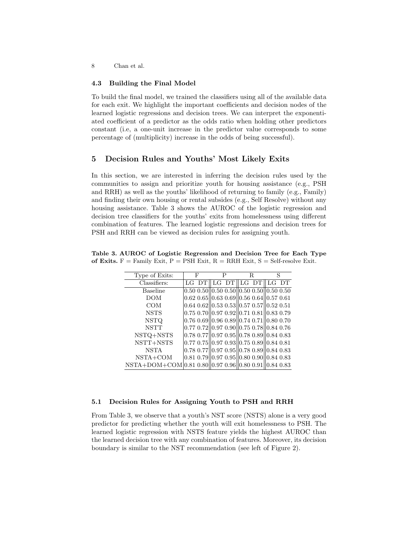#### 4.3 Building the Final Model

To build the final model, we trained the classifiers using all of the available data for each exit. We highlight the important coefficients and decision nodes of the learned logistic regressions and decision trees. We can interpret the exponentiated coefficient of a predictor as the odds ratio when holding other predictors constant (i.e, a one-unit increase in the predictor value corresponds to some percentage of (multiplicity) increase in the odds of being successful).

### 5 Decision Rules and Youths' Most Likely Exits

In this section, we are interested in inferring the decision rules used by the communities to assign and prioritize youth for housing assistance (e.g., PSH and RRH) as well as the youths' likelihood of returning to family (e.g., Family) and finding their own housing or rental subsides (e.g., Self Resolve) without any housing assistance. Table 3 shows the AUROC of the logistic regression and decision tree classifiers for the youths' exits from homelessness using different combination of features. The learned logistic regressions and decision trees for PSH and RRH can be viewed as decision rules for assigning youth.

| Type of Exits:  | F | Р                                                             | R. | S |
|-----------------|---|---------------------------------------------------------------|----|---|
| Classifiers:    |   | LG DT LG DT LG DT LG DT                                       |    |   |
| <b>Baseline</b> |   | $0.50$ $0.50$ $0.50$ $0.50$ $0.50$ $0.50$ $0.50$ $0.50$       |    |   |
| <b>DOM</b>      |   | $0.62$ $0.65$   0.63 $0.69$   0.56 $0.64$   0.57 $0.61$       |    |   |
| COM             |   | $0.64$ $0.62$ $0.53$ $0.53$ $0.57$ $0.57$ $0.52$ $0.51$       |    |   |
| <b>NSTS</b>     |   | $0.75$ 0.70 $0.97$ 0.92 $0.71$ 0.81 $0.83$ 0.79               |    |   |
| <b>NSTQ</b>     |   | $0.76$ $0.69$ $0.96$ $0.89$ $0.74$ $0.71$ $0.80$ $0.70$       |    |   |
| <b>NSTT</b>     |   | $0.77$ $0.72$ $  0.97$ $0.90$ $  0.75$ $0.78$ $  0.84$ $0.76$ |    |   |
| NSTQ+NSTS       |   | $0.78$ 0.77 $ 0.97$ 0.95 $ 0.78$ 0.89 $ 0.84$ 0.83            |    |   |
| NSTT+NSTS       |   | 0.77 0.75 0.97 0.93 0.75 0.89 0.84 0.81                       |    |   |
| NSTA            |   | $0.78$ 0.77 $ 0.97$ 0.95 $ 0.78$ 0.89 $ 0.84$ 0.83            |    |   |
| $NSTA+COM$      |   | $0.81$ 0.79 0.97 0.95 0.80 0.90 0.84 0.83                     |    |   |
| NSTA+DOM+COM    |   | $0.81$ $0.80$ $0.97$ $0.96$ $0.80$ $0.91$ $0.84$ $0.83$       |    |   |

Table 3. AUROC of Logistic Regression and Decision Tree for Each Type of Exits.  $F =$  Family Exit,  $P =$  PSH Exit,  $R = RRH$  Exit,  $S =$  Self-resolve Exit.

### 5.1 Decision Rules for Assigning Youth to PSH and RRH

From Table 3, we observe that a youth's NST score (NSTS) alone is a very good predictor for predicting whether the youth will exit homelessness to PSH. The learned logistic regression with NSTS feature yields the highest AUROC than the learned decision tree with any combination of features. Moreover, its decision boundary is similar to the NST recommendation (see left of Figure 2).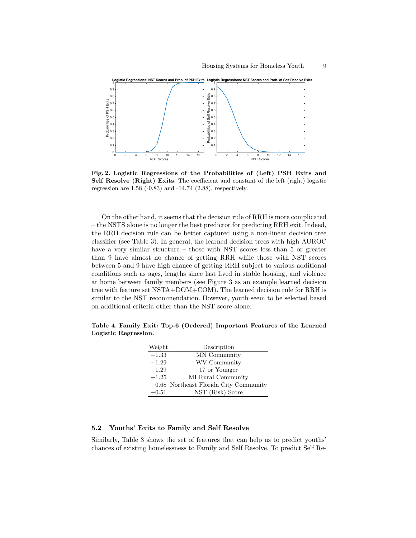

Fig. 2. Logistic Regressions of the Probabilities of (Left) PSH Exits and Self Resolve (Right) Exits. The coefficient and constant of the left (right) logistic regression are 1.58 (-0.83) and -14.74 (2.88), respectively.

On the other hand, it seems that the decision rule of RRH is more complicated – the NSTS alone is no longer the best predictor for predicting RRH exit. Indeed, the RRH decision rule can be better captured using a non-linear decision tree classifier (see Table 3). In general, the learned decision trees with high AUROC have a very similar structure – those with NST scores less than 5 or greater than 9 have almost no chance of getting RRH while those with NST scores between 5 and 9 have high chance of getting RRH subject to various additional conditions such as ages, lengths since last lived in stable housing, and violence at home between family members (see Figure 3 as an example learned decision tree with feature set NSTA+DOM+COM). The learned decision rule for RRH is similar to the NST recommendation. However, youth seem to be selected based on additional criteria other than the NST score alone.

Table 4. Family Exit: Top-6 (Ordered) Important Features of the Learned Logistic Regression.

| Weight  | Description                              |
|---------|------------------------------------------|
| $+1.33$ | MN Community                             |
| $+1.29$ | WV Community                             |
| $+1.29$ | 17 or Younger                            |
| $+1.25$ | MI Rural Community                       |
|         | $-0.68$ Northeast Florida City Community |
| $-0.51$ | NST (Risk) Score                         |

#### 5.2 Youths' Exits to Family and Self Resolve

Similarly, Table 3 shows the set of features that can help us to predict youths' chances of existing homelessness to Family and Self Resolve. To predict Self Re-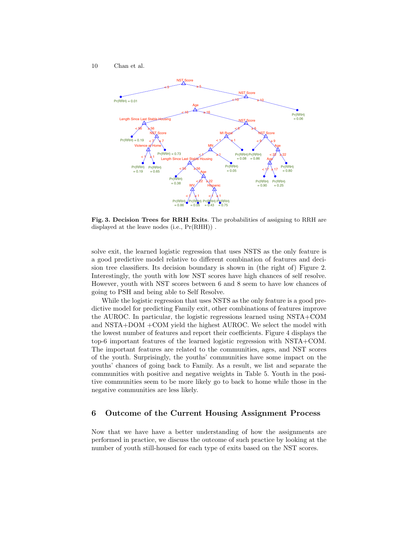10 Chan et al.



Fig. 3. Decision Trees for RRH Exits. The probabilities of assigning to RRH are displayed at the leave nodes (i.e., Pr(RHH)) .

solve exit, the learned logistic regression that uses NSTS as the only feature is a good predictive model relative to different combination of features and decision tree classifiers. Its decision boundary is shown in (the right of) Figure 2. Interestingly, the youth with low NST scores have high chances of self resolve. However, youth with NST scores between 6 and 8 seem to have low chances of going to PSH and being able to Self Resolve.

While the logistic regression that uses NSTS as the only feature is a good predictive model for predicting Family exit, other combinations of features improve the AUROC. In particular, the logistic regressions learned using NSTA+COM and NSTA+DOM +COM yield the highest AUROC. We select the model with the lowest number of features and report their coefficients. Figure 4 displays the top-6 important features of the learned logistic regression with NSTA+COM. The important features are related to the communities, ages, and NST scores of the youth. Surprisingly, the youths' communities have some impact on the youths' chances of going back to Family. As a result, we list and separate the communities with positive and negative weights in Table 5. Youth in the positive communities seem to be more likely go to back to home while those in the negative communities are less likely.

# 6 Outcome of the Current Housing Assignment Process

Now that we have have a better understanding of how the assignments are performed in practice, we discuss the outcome of such practice by looking at the number of youth still-housed for each type of exits based on the NST scores.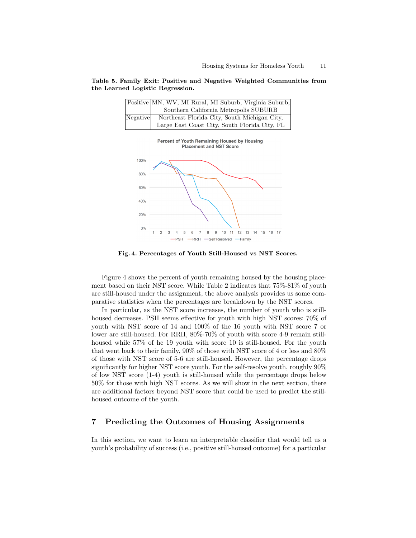|  |                                  |  | Table 5. Family Exit: Positive and Negative Weighted Communities from |  |
|--|----------------------------------|--|-----------------------------------------------------------------------|--|
|  | the Learned Logistic Regression. |  |                                                                       |  |

|          | Positive MN, WV, MI Rural, MI Suburb, Virginia Suburb, |
|----------|--------------------------------------------------------|
|          | Southern California Metropolis SUBURB                  |
| Negative | Northeast Florida City, South Michigan City,           |
|          | Large East Coast City, South Florida City, FL          |

Percent of Youth Remaining Housed by Housing **Placement and NST Score** 



Fig. 4. Percentages of Youth Still-Housed vs NST Scores.

Figure 4 shows the percent of youth remaining housed by the housing placement based on their NST score. While Table 2 indicates that 75%-81% of youth are still-housed under the assignment, the above analysis provides us some comparative statistics when the percentages are breakdown by the NST scores.

In particular, as the NST score increases, the number of youth who is stillhoused decreases. PSH seems effective for youth with high NST scores:  $70\%$  of youth with NST score of 14 and 100% of the 16 youth with NST score 7 or lower are still-housed. For RRH, 80%-70% of youth with score 4-9 remain stillhoused while 57% of he 19 youth with score 10 is still-housed. For the youth that went back to their family, 90% of those with NST score of 4 or less and 80% of those with NST score of 5-6 are still-housed. However, the percentage drops significantly for higher NST score youth. For the self-resolve youth, roughly 90% of low NST score (1-4) youth is still-housed while the percentage drops below 50% for those with high NST scores. As we will show in the next section, there are additional factors beyond NST score that could be used to predict the stillhoused outcome of the youth.

# 7 Predicting the Outcomes of Housing Assignments

In this section, we want to learn an interpretable classifier that would tell us a youth's probability of success (i.e., positive still-housed outcome) for a particular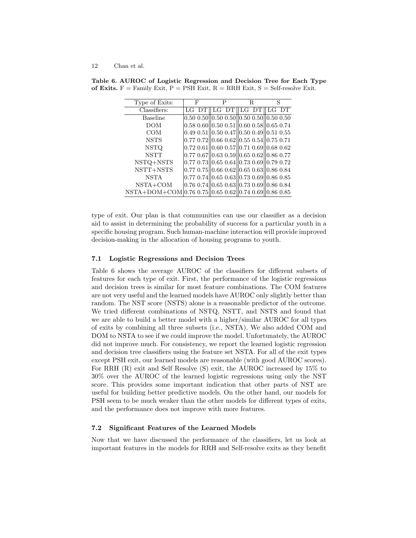| Type of Exits:                                          | F |                                                         |  |                | R. |  | S                         |  |
|---------------------------------------------------------|---|---------------------------------------------------------|--|----------------|----|--|---------------------------|--|
| Classifiers:                                            |   | LG DT                                                   |  | LLG DTILLG DTI |    |  | $\mathsf{L}\mathsf{G}$ DT |  |
| <b>Baseline</b>                                         |   | $0.50 0.50$   0.50 0.50  0.50 0.50  0.50 0.50           |  |                |    |  |                           |  |
| DOM                                                     |   | $0.58 0.60$ $0.50 0.51$ $0.60 0.58$ $0.65 0.74$         |  |                |    |  |                           |  |
| <b>COM</b>                                              |   | $0.49 0.51    0.50 0.47    0.50 0.49    0.51 0.55$      |  |                |    |  |                           |  |
| <b>NSTS</b>                                             |   | $0.77 0.72    0.66 0.62    0.55 0.54    0.75 0.71$      |  |                |    |  |                           |  |
| <b>NSTQ</b>                                             |   | $0.72$ 0.61 $0.60$ 0.57 $0.71$ 0.69 $0.68$ 0.62         |  |                |    |  |                           |  |
| <b>NSTT</b>                                             |   | $0.77$ $0.67$ $0.63$ $0.59$ $0.65$ $0.62$ $0.86$ $0.77$ |  |                |    |  |                           |  |
| NSTQ+NSTS                                               |   | $0.77 0.73    0.65 0.64    0.73 0.69    0.79 0.72$      |  |                |    |  |                           |  |
| NSTT+NSTS                                               |   | $0.77 0.75    0.66 0.62    0.65 0.63    0.86 0.84$      |  |                |    |  |                           |  |
| <b>NSTA</b>                                             |   | $0.77 0.74    0.65 0.63    0.73 0.69    0.86 0.85$      |  |                |    |  |                           |  |
| $NSTA+COM$                                              |   | $0.76$ 0.74 $  0.65$ 0.63 $  0.73$ 0.69 $  0.86$ 0.84   |  |                |    |  |                           |  |
| NSTA+DOM+COM 0.76 0.75  0.65 0.62  0.74 0.69  0.86 0.85 |   |                                                         |  |                |    |  |                           |  |

Table 6. AUROC of Logistic Regression and Decision Tree for Each Type of Exits.  $F =$  Family Exit,  $P =$  PSH Exit,  $R = RRH$  Exit,  $S =$  Self-resolve Exit.

type of exit. Our plan is that communities can use our classifier as a decision aid to assist in determining the probability of success for a particular youth in a specific housing program. Such human-machine interaction will provide improved decision-making in the allocation of housing programs to youth.

#### 7.1 Logistic Regressions and Decision Trees

Table 6 shows the average AUROC of the classifiers for different subsets of features for each type of exit. First, the performance of the logistic regressions and decision trees is similar for most feature combinations. The COM features are not very useful and the learned models have AUROC only slightly better than random. The NST score (NSTS) alone is a reasonable predictor of the outcome. We tried different combinations of NSTQ, NSTT, and NSTS and found that we are able to build a better model with a higher/similar AUROC for all types of exits by combining all three subsets (i.e., NSTA). We also added COM and DOM to NSTA to see if we could improve the model. Unfortunately, the AUROC did not improve much. For consistency, we report the learned logistic regression and decision tree classifiers using the feature set NSTA. For all of the exit types except PSH exit, our learned models are reasonable (with good AUROC scores). For RRH (R) exit and Self Resolve (S) exit, the AUROC increased by 15% to 30% over the AUROC of the learned logistic regressions using only the NST score. This provides some important indication that other parts of NST are useful for building better predictive models. On the other hand, our models for PSH seem to be much weaker than the other models for different types of exits, and the performance does not improve with more features.

### 7.2 Significant Features of the Learned Models

Now that we have discussed the performance of the classifiers, let us look at important features in the models for RRH and Self-resolve exits as they benefit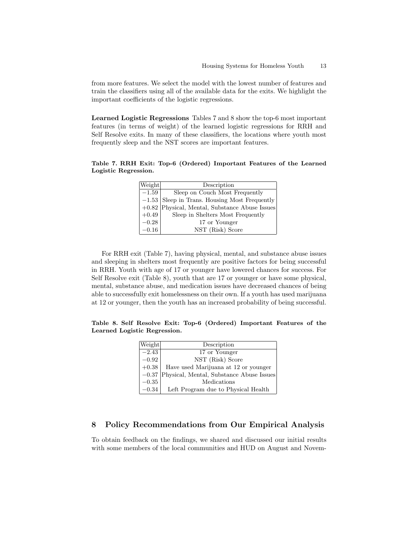from more features. We select the model with the lowest number of features and train the classifiers using all of the available data for the exits. We highlight the important coefficients of the logistic regressions.

Learned Logistic Regressions Tables 7 and 8 show the top-6 most important features (in terms of weight) of the learned logistic regressions for RRH and Self Resolve exits. In many of these classifiers, the locations where youth most frequently sleep and the NST scores are important features.

Table 7. RRH Exit: Top-6 (Ordered) Important Features of the Learned Logistic Regression.

| Weight  | Description                                      |
|---------|--------------------------------------------------|
| $-1.59$ | Sleep on Couch Most Frequently                   |
| $-1.53$ | Sleep in Trans. Housing Most Frequently          |
|         | $+0.82$ Physical, Mental, Substance Abuse Issues |
| $+0.49$ | Sleep in Shelters Most Frequently                |
| $-0.28$ | 17 or Younger                                    |
| $-0.16$ | NST (Risk) Score                                 |
|         |                                                  |

For RRH exit (Table 7), having physical, mental, and substance abuse issues and sleeping in shelters most frequently are positive factors for being successful in RRH. Youth with age of 17 or younger have lowered chances for success. For Self Resolve exit (Table 8), youth that are 17 or younger or have some physical, mental, substance abuse, and medication issues have decreased chances of being able to successfully exit homelessness on their own. If a youth has used marijuana at 12 or younger, then the youth has an increased probability of being successful.

Table 8. Self Resolve Exit: Top-6 (Ordered) Important Features of the Learned Logistic Regression.

| Weight  | Description                                      |
|---------|--------------------------------------------------|
| $-2.43$ | 17 or Younger                                    |
| $-0.92$ | NST (Risk) Score                                 |
| $+0.38$ | Have used Marijuana at 12 or younger             |
|         | $-0.37$ Physical, Mental, Substance Abuse Issues |
| $-0.35$ | Medications                                      |
| $-0.34$ | Left Program due to Physical Health              |

# 8 Policy Recommendations from Our Empirical Analysis

To obtain feedback on the findings, we shared and discussed our initial results with some members of the local communities and HUD on August and Novem-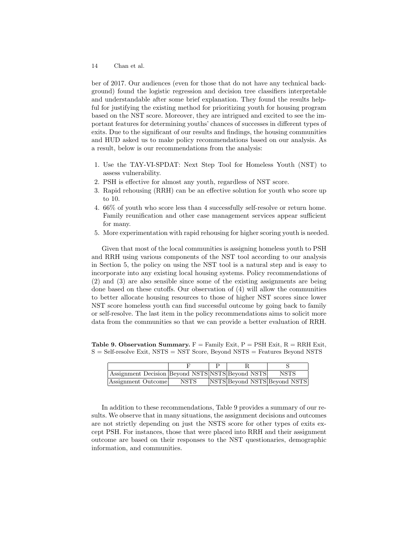ber of 2017. Our audiences (even for those that do not have any technical background) found the logistic regression and decision tree classifiers interpretable and understandable after some brief explanation. They found the results helpful for justifying the existing method for prioritizing youth for housing program based on the NST score. Moreover, they are intrigued and excited to see the important features for determining youths' chances of successes in different types of exits. Due to the significant of our results and findings, the housing communities and HUD asked us to make policy recommendations based on our analysis. As a result, below is our recommendations from the analysis:

- 1. Use the TAY-VI-SPDAT: Next Step Tool for Homeless Youth (NST) to assess vulnerability.
- 2. PSH is effective for almost any youth, regardless of NST score.
- 3. Rapid rehousing (RRH) can be an effective solution for youth who score up to 10.
- 4. 66% of youth who score less than 4 successfully self-resolve or return home. Family reunification and other case management services appear sufficient for many.
- 5. More experimentation with rapid rehousing for higher scoring youth is needed.

Given that most of the local communities is assigning homeless youth to PSH and RRH using various components of the NST tool according to our analysis in Section 5, the policy on using the NST tool is a natural step and is easy to incorporate into any existing local housing systems. Policy recommendations of (2) and (3) are also sensible since some of the existing assignments are being done based on these cutoffs. Our observation of (4) will allow the communities to better allocate housing resources to those of higher NST scores since lower NST score homeless youth can find successful outcome by going back to family or self-resolve. The last item in the policy recommendations aims to solicit more data from the communities so that we can provide a better evaluation of RRH.

Table 9. Observation Summary.  $F =$  Family Exit,  $P =$  PSH Exit,  $R = RRH$  Exit, S = Self-resolve Exit, NSTS = NST Score, Beyond NSTS = Features Beyond NSTS

| Assignment Decision Beyond NSTS NSTS Beyond NSTS |      |                              | <b>NSTS</b> |
|--------------------------------------------------|------|------------------------------|-------------|
| Assignment Outcome                               | NSTS | NSTS Beyond NSTS Beyond NSTS |             |

In addition to these recommendations, Table 9 provides a summary of our results. We observe that in many situations, the assignment decisions and outcomes are not strictly depending on just the NSTS score for other types of exits except PSH. For instances, those that were placed into RRH and their assignment outcome are based on their responses to the NST questionaries, demographic information, and communities.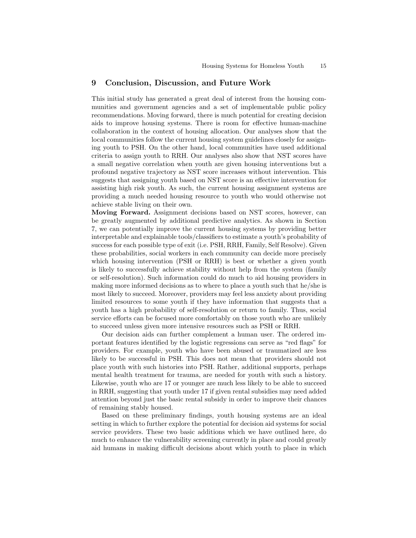# 9 Conclusion, Discussion, and Future Work

This initial study has generated a great deal of interest from the housing communities and government agencies and a set of implementable public policy recommendations. Moving forward, there is much potential for creating decision aids to improve housing systems. There is room for effective human-machine collaboration in the context of housing allocation. Our analyses show that the local communities follow the current housing system guidelines closely for assigning youth to PSH. On the other hand, local communities have used additional criteria to assign youth to RRH. Our analyses also show that NST scores have a small negative correlation when youth are given housing interventions but a profound negative trajectory as NST score increases without intervention. This suggests that assigning youth based on NST score is an effective intervention for assisting high risk youth. As such, the current housing assignment systems are providing a much needed housing resource to youth who would otherwise not achieve stable living on their own.

Moving Forward. Assignment decisions based on NST scores, however, can be greatly augmented by additional predictive analytics. As shown in Section 7, we can potentially improve the current housing systems by providing better interpretable and explainable tools/classifiers to estimate a youth's probability of success for each possible type of exit (i.e. PSH, RRH, Family, Self Resolve). Given these probabilities, social workers in each community can decide more precisely which housing intervention (PSH or RRH) is best or whether a given youth is likely to successfully achieve stability without help from the system (family or self-resolution). Such information could do much to aid housing providers in making more informed decisions as to where to place a youth such that he/she is most likely to succeed. Moreover, providers may feel less anxiety about providing limited resources to some youth if they have information that suggests that a youth has a high probability of self-resolution or return to family. Thus, social service efforts can be focused more comfortably on those youth who are unlikely to succeed unless given more intensive resources such as PSH or RRH.

Our decision aids can further complement a human user. The ordered important features identified by the logistic regressions can serve as "red flags" for providers. For example, youth who have been abused or traumatized are less likely to be successful in PSH. This does not mean that providers should not place youth with such histories into PSH. Rather, additional supports, perhaps mental health treatment for trauma, are needed for youth with such a history. Likewise, youth who are 17 or younger are much less likely to be able to succeed in RRH, suggesting that youth under 17 if given rental subsidies may need added attention beyond just the basic rental subsidy in order to improve their chances of remaining stably housed.

Based on these preliminary findings, youth housing systems are an ideal setting in which to further explore the potential for decision aid systems for social service providers. These two basic additions which we have outlined here, do much to enhance the vulnerability screening currently in place and could greatly aid humans in making difficult decisions about which youth to place in which